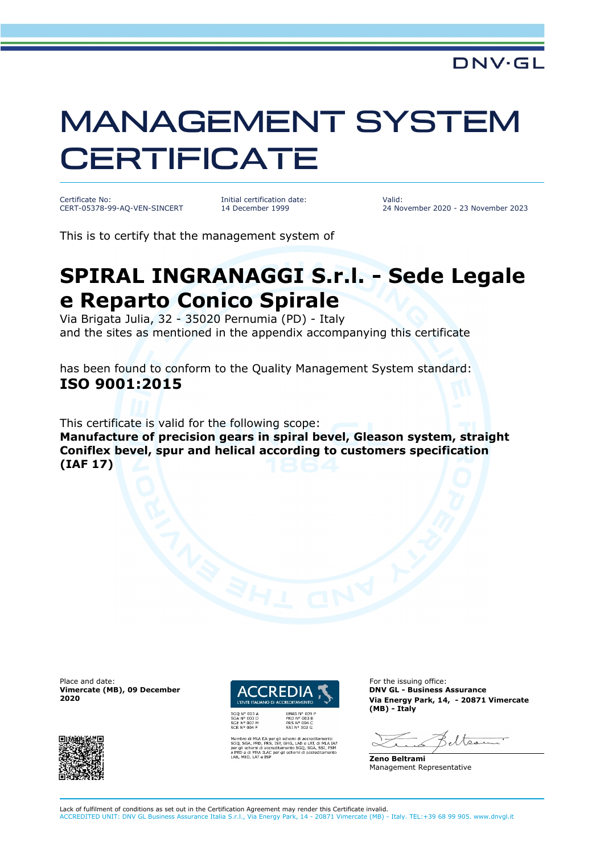## MANAGEMENT SYSTEM **CERTIFICATE**

Certificate No: CERT-05378-99-AQ-VEN-SINCERT Initial certification date: 14 December 1999

Valid: 24 November 2020 - 23 November 2023

This is to certify that the management system of

## **SPIRAL INGRANAGGI S.r.l. - Sede Legale e Reparto Conico Spirale**

Via Brigata Julia, 32 - 35020 Pernumia (PD) - Italy and the sites as mentioned in the appendix accompanying this certificate

has been found to conform to the Quality Management System standard: **ISO 9001:2015**

This certificate is valid for the following scope:

**Manufacture of precision gears in spiral bevel, Gleason system, straight Coniflex bevel, spur and helical according to customers specification (IAF 17)**

Place and date: **For the issuing office:** For the issuing office: **Vimercate (MB), 09 December 2020**





.<br>GHG, LAB e LAT, di MLA<br>nento SGQ, SGA, SSI, FS<br>i schemi di accreditamer

**DNV GL - Business Assurance Via Energy Park, 14, - 20871 Vimercate (MB) - Italy**

eltser

**Zeno Beltrami** Management Representative